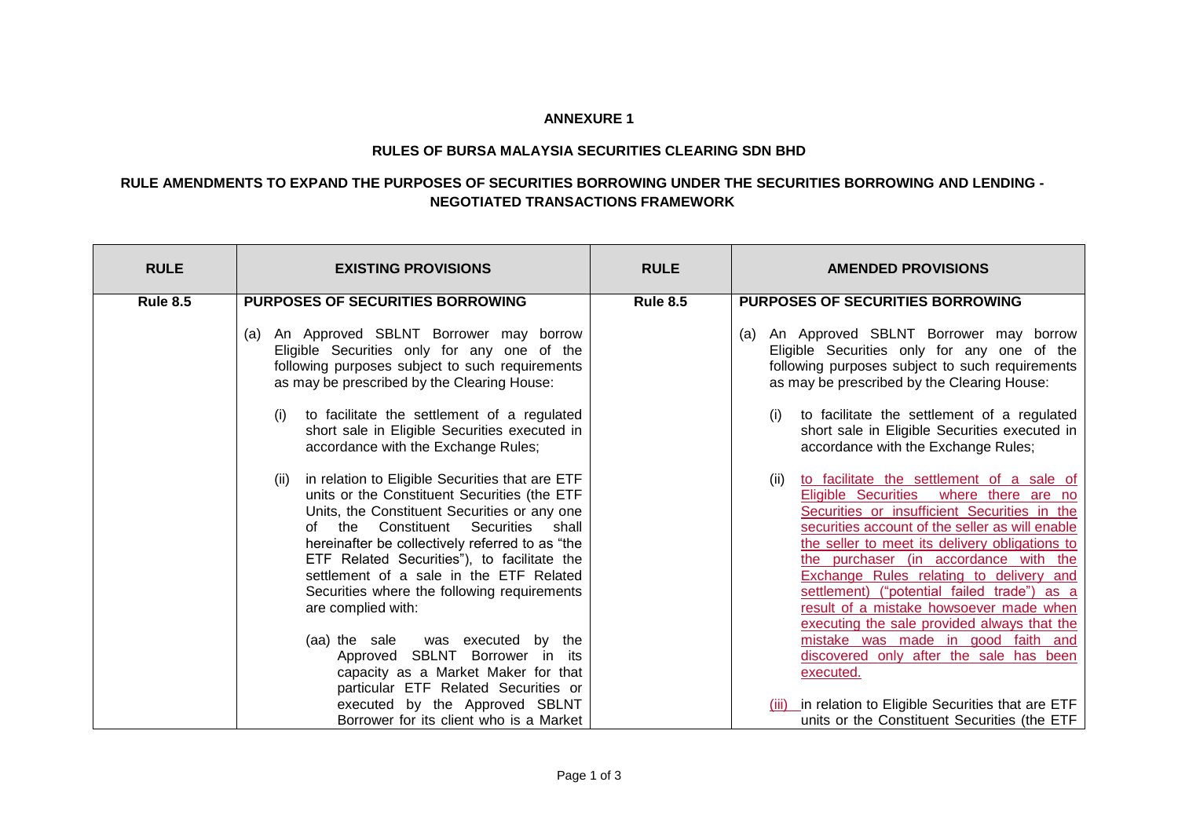## **ANNEXURE 1**

## **RULES OF BURSA MALAYSIA SECURITIES CLEARING SDN BHD**

## **RULE AMENDMENTS TO EXPAND THE PURPOSES OF SECURITIES BORROWING UNDER THE SECURITIES BORROWING AND LENDING - NEGOTIATED TRANSACTIONS FRAMEWORK**

| <b>RULE</b>     | <b>EXISTING PROVISIONS</b>                                                                                                                                                                                                                                                                                                                                                                                                | <b>RULE</b>     | <b>AMENDED PROVISIONS</b>                                                                                                                                                                                                                                                                                                                                                                                                                                                        |
|-----------------|---------------------------------------------------------------------------------------------------------------------------------------------------------------------------------------------------------------------------------------------------------------------------------------------------------------------------------------------------------------------------------------------------------------------------|-----------------|----------------------------------------------------------------------------------------------------------------------------------------------------------------------------------------------------------------------------------------------------------------------------------------------------------------------------------------------------------------------------------------------------------------------------------------------------------------------------------|
| <b>Rule 8.5</b> | <b>PURPOSES OF SECURITIES BORROWING</b>                                                                                                                                                                                                                                                                                                                                                                                   | <b>Rule 8.5</b> | <b>PURPOSES OF SECURITIES BORROWING</b>                                                                                                                                                                                                                                                                                                                                                                                                                                          |
|                 | An Approved SBLNT Borrower may borrow<br>(a)<br>Eligible Securities only for any one of the<br>following purposes subject to such requirements<br>as may be prescribed by the Clearing House:                                                                                                                                                                                                                             |                 | An Approved SBLNT Borrower may borrow<br>(a)<br>Eligible Securities only for any one of the<br>following purposes subject to such requirements<br>as may be prescribed by the Clearing House:                                                                                                                                                                                                                                                                                    |
|                 | to facilitate the settlement of a regulated<br>short sale in Eligible Securities executed in<br>accordance with the Exchange Rules;                                                                                                                                                                                                                                                                                       |                 | to facilitate the settlement of a regulated<br>(i)<br>short sale in Eligible Securities executed in<br>accordance with the Exchange Rules;                                                                                                                                                                                                                                                                                                                                       |
|                 | in relation to Eligible Securities that are ETF<br>(ii)<br>units or the Constituent Securities (the ETF<br>Units, the Constituent Securities or any one<br>Constituent Securities<br>shall<br>the<br>of<br>hereinafter be collectively referred to as "the<br>ETF Related Securities"), to facilitate the<br>settlement of a sale in the ETF Related<br>Securities where the following requirements<br>are complied with: |                 | to facilitate the settlement of a sale of<br>(ii)<br>Eligible Securities<br>where there are no<br>Securities or insufficient Securities in the<br>securities account of the seller as will enable<br>the seller to meet its delivery obligations to<br>the purchaser (in accordance with the<br>Exchange Rules relating to delivery and<br>settlement) ("potential failed trade") as a<br>result of a mistake howsoever made when<br>executing the sale provided always that the |
|                 | (aa) the sale<br>was executed by the<br>SBLNT Borrower in its<br>Approved<br>capacity as a Market Maker for that                                                                                                                                                                                                                                                                                                          |                 | mistake was made in good faith and<br>discovered only after the sale has been<br>executed.                                                                                                                                                                                                                                                                                                                                                                                       |
|                 | particular ETF Related Securities or<br>executed by the Approved SBLNT<br>Borrower for its client who is a Market                                                                                                                                                                                                                                                                                                         |                 | in relation to Eligible Securities that are ETF<br>(iii)<br>units or the Constituent Securities (the ETF                                                                                                                                                                                                                                                                                                                                                                         |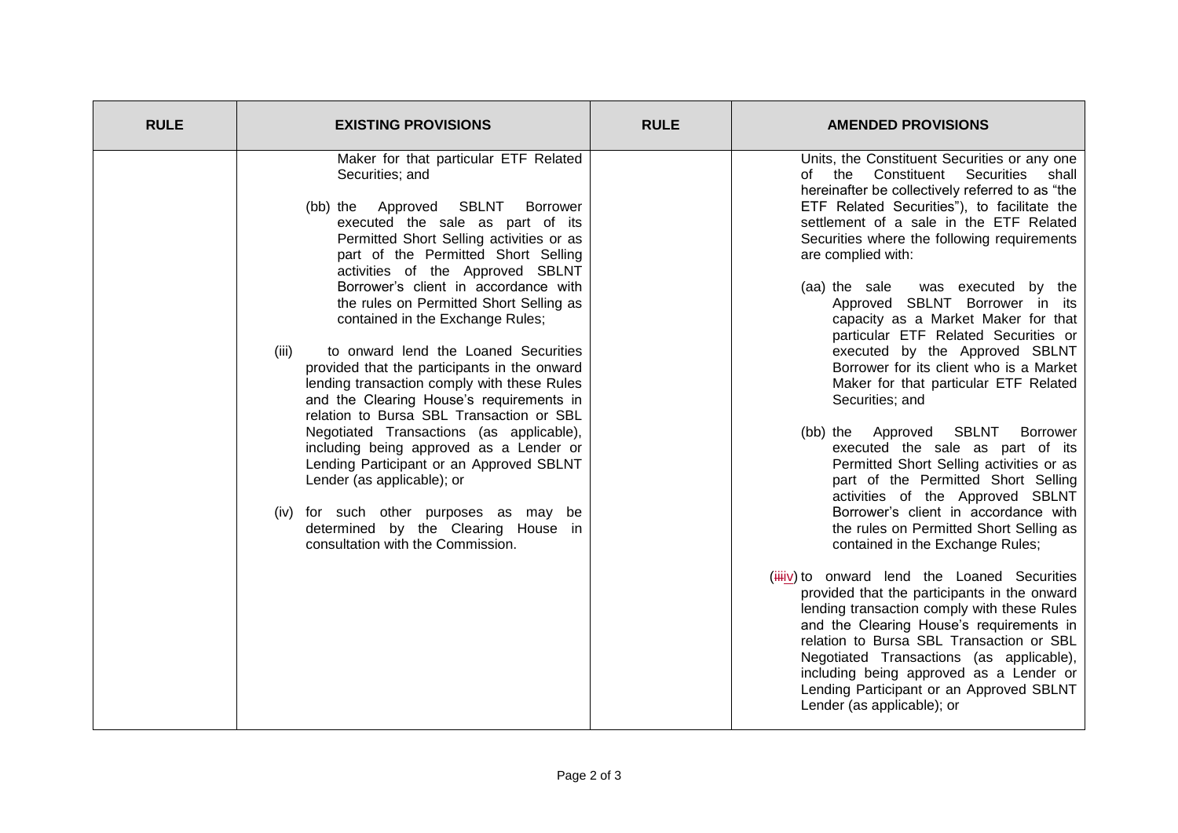| <b>RULE</b> | <b>EXISTING PROVISIONS</b>                                                                                                                                                                                                                                                                                                                                                                                                                                                                                                                                                                                                                                                                                                                                                                                                                                                                                                 | <b>RULE</b> | <b>AMENDED PROVISIONS</b>                                                                                                                                                                                                                                                                                                                                                                                                                                                                                                                                                                                                                                                                                                                                                                                                                                                                                                                                                                                                                                                                                                                                                                                                                                                                                                                        |
|-------------|----------------------------------------------------------------------------------------------------------------------------------------------------------------------------------------------------------------------------------------------------------------------------------------------------------------------------------------------------------------------------------------------------------------------------------------------------------------------------------------------------------------------------------------------------------------------------------------------------------------------------------------------------------------------------------------------------------------------------------------------------------------------------------------------------------------------------------------------------------------------------------------------------------------------------|-------------|--------------------------------------------------------------------------------------------------------------------------------------------------------------------------------------------------------------------------------------------------------------------------------------------------------------------------------------------------------------------------------------------------------------------------------------------------------------------------------------------------------------------------------------------------------------------------------------------------------------------------------------------------------------------------------------------------------------------------------------------------------------------------------------------------------------------------------------------------------------------------------------------------------------------------------------------------------------------------------------------------------------------------------------------------------------------------------------------------------------------------------------------------------------------------------------------------------------------------------------------------------------------------------------------------------------------------------------------------|
|             | Maker for that particular ETF Related<br>Securities; and<br>Approved SBLNT<br><b>Borrower</b><br>(bb) the<br>executed the sale as part of its<br>Permitted Short Selling activities or as<br>part of the Permitted Short Selling<br>activities of the Approved SBLNT<br>Borrower's client in accordance with<br>the rules on Permitted Short Selling as<br>contained in the Exchange Rules;<br>to onward lend the Loaned Securities<br>(iii)<br>provided that the participants in the onward<br>lending transaction comply with these Rules<br>and the Clearing House's requirements in<br>relation to Bursa SBL Transaction or SBL<br>Negotiated Transactions (as applicable),<br>including being approved as a Lender or<br>Lending Participant or an Approved SBLNT<br>Lender (as applicable); or<br>(iv) for such other purposes as may be<br>determined by the Clearing House in<br>consultation with the Commission. |             | Units, the Constituent Securities or any one<br>of the<br>Constituent<br>Securities<br>shall<br>hereinafter be collectively referred to as "the<br>ETF Related Securities"), to facilitate the<br>settlement of a sale in the ETF Related<br>Securities where the following requirements<br>are complied with:<br>(aa) the sale<br>was executed by the<br>Approved SBLNT Borrower in its<br>capacity as a Market Maker for that<br>particular ETF Related Securities or<br>executed by the Approved SBLNT<br>Borrower for its client who is a Market<br>Maker for that particular ETF Related<br>Securities; and<br>(bb) the Approved SBLNT<br>Borrower<br>executed the sale as part of its<br>Permitted Short Selling activities or as<br>part of the Permitted Short Selling<br>activities of the Approved SBLNT<br>Borrower's client in accordance with<br>the rules on Permitted Short Selling as<br>contained in the Exchange Rules;<br>(iiiv) to onward lend the Loaned Securities<br>provided that the participants in the onward<br>lending transaction comply with these Rules<br>and the Clearing House's requirements in<br>relation to Bursa SBL Transaction or SBL<br>Negotiated Transactions (as applicable),<br>including being approved as a Lender or<br>Lending Participant or an Approved SBLNT<br>Lender (as applicable); or |